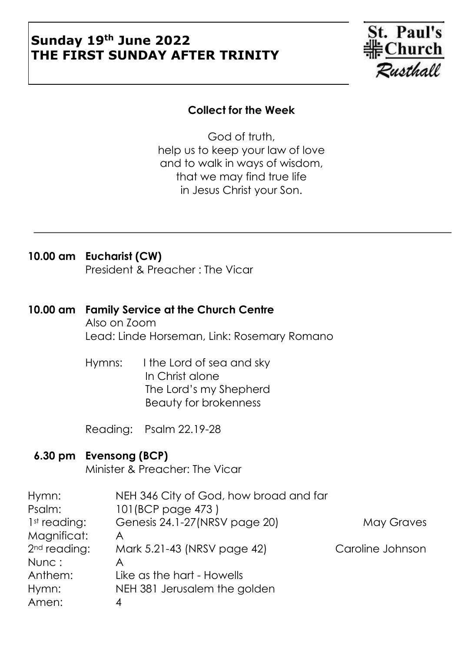## **Sunday 19th June 2022 THE FIRST SUNDAY AFTER TRINITY**



### **Collect for the Week**

God of truth, help us to keep your law of love and to walk in ways of wisdom, that we may find true life in Jesus Christ your Son.

### **10.00 am Eucharist (CW)** President & Preacher : The Vicar

### **10.00 am Family Service at the Church Centre**

Also on Zoom Lead: Linde Horseman, Link: Rosemary Romano

Hymns: I the Lord of sea and sky In Christ alone The Lord's my Shepherd Beauty for brokenness

Reading: Psalm 22.19-28

### **6.30 pm Evensong (BCP)**

Minister & Preacher: The Vicar

| Hymn:                    | NEH 346 City of God, how broad and far |                  |
|--------------------------|----------------------------------------|------------------|
| Psalm:                   | 101(BCP page 473)                      |                  |
| 1 <sup>st</sup> reading: | Genesis 24.1-27 (NRSV page 20)         | May Graves       |
| Magnificat:              | Α                                      |                  |
| 2 <sup>nd</sup> reading: | Mark 5.21-43 (NRSV page 42)            | Caroline Johnson |
| Nunc:                    | Α                                      |                  |
| Anthem:                  | Like as the hart - Howells             |                  |
| Hymn:                    | NEH 381 Jerusalem the golden           |                  |
| Amen:                    | 4                                      |                  |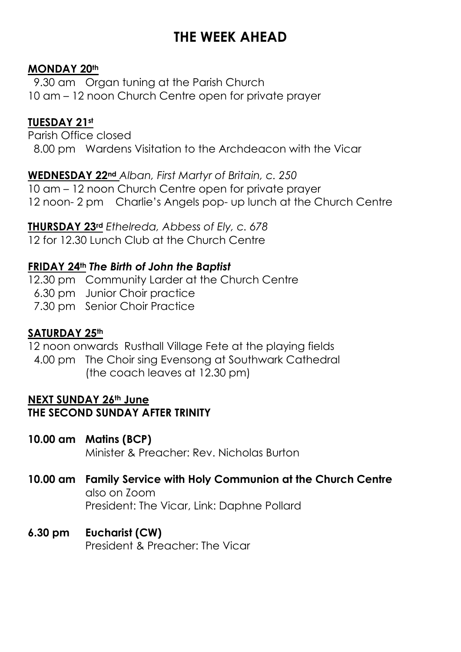# **THE WEEK AHEAD**

### **MONDAY 20th**

 9.30 am Organ tuning at the Parish Church 10 am – 12 noon Church Centre open for private prayer

### **TUESDAY 21st**

Parish Office closed 8.00 pm Wardens Visitation to the Archdeacon with the Vicar

**WEDNESDAY 22nd** *Alban, First Martyr of Britain, c. 250* 10 am – 12 noon Church Centre open for private prayer 12 noon- 2 pm Charlie's Angels pop- up lunch at the Church Centre

**THURSDAY 23rd** *Ethelreda, Abbess of Ely, c. 678* 12 for 12.30 Lunch Club at the Church Centre

### **FRIDAY 24th** *The Birth of John the Baptist*

12.30 pm Community Larder at the Church Centre 6.30 pm Junior Choir practice 7.30 pm Senior Choir Practice

### **SATURDAY 25th**

12 noon onwards Rusthall Village Fete at the playing fields

 4.00 pm The Choir sing Evensong at Southwark Cathedral (the coach leaves at 12.30 pm)

#### **NEXT SUNDAY 26th June THE SECOND SUNDAY AFTER TRINITY**

- **10.00 am Matins (BCP)** Minister & Preacher: Rev. Nicholas Burton
- **10.00 am Family Service with Holy Communion at the Church Centre** also on Zoom President: The Vicar, Link: Daphne Pollard
- **6.30 pm Eucharist (CW)** President & Preacher: The Vicar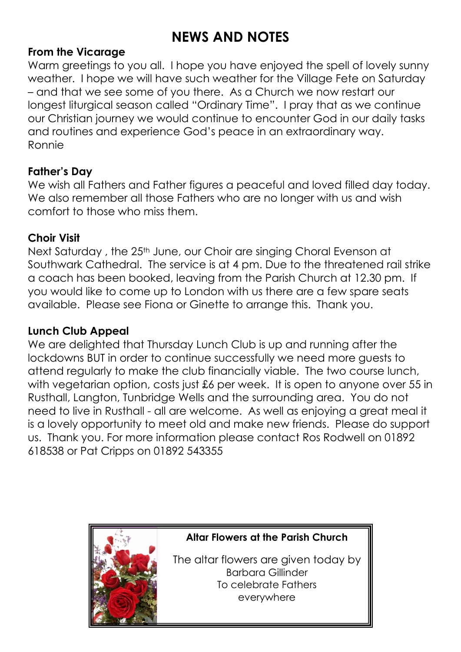## **NEWS AND NOTES**

### **From the Vicarage**

Warm greetings to you all. I hope you have enjoyed the spell of lovely sunny weather. I hope we will have such weather for the Village Fete on Saturday – and that we see some of you there. As a Church we now restart our longest liturgical season called "Ordinary Time". I pray that as we continue our Christian journey we would continue to encounter God in our daily tasks and routines and experience God's peace in an extraordinary way. Ronnie

### **Father's Day**

We wish all Fathers and Father figures a peaceful and loved filled day today. We also remember all those Fathers who are no longer with us and wish comfort to those who miss them.

### **Choir Visit**

Next Saturday, the 25<sup>th</sup> June, our Choir are singing Choral Evenson at Southwark Cathedral. The service is at 4 pm. Due to the threatened rail strike a coach has been booked, leaving from the Parish Church at 12.30 pm. If you would like to come up to London with us there are a few spare seats available. Please see Fiona or Ginette to arrange this. Thank you.

### **Lunch Club Appeal**

We are delighted that Thursday Lunch Club is up and running after the lockdowns BUT in order to continue successfully we need more guests to attend regularly to make the club financially viable. The two course lunch, with vegetarian option, costs just £6 per week. It is open to anyone over 55 in Rusthall, Langton, Tunbridge Wells and the surrounding area. You do not need to live in Rusthall - all are welcome. As well as enjoying a great meal it is a lovely opportunity to meet old and make new friends. Please do support us. Thank you. For more information please contact Ros Rodwell on 01892 618538 or Pat Cripps on 01892 543355



**Altar Flowers at the Parish Church**

The altar flowers are given today by Barbara Gillinder To celebrate Fathers everywhere